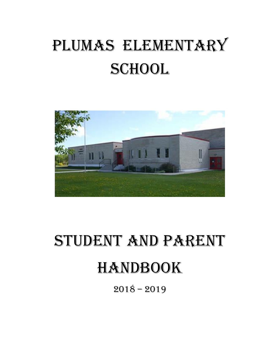# PLUMAS ELEMENTARY SCHOOL



# STUDENT AND PARENT **HANDBOOK**

 $2018 - 2019$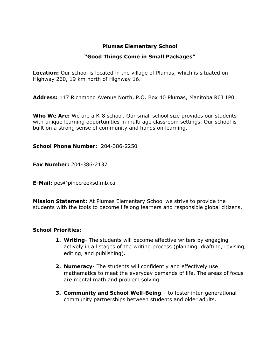# **Plumas Elementary School**

# **"Good Things Come in Small Packages"**

**Location:** Our school is located in the village of Plumas, which is situated on Highway 260, 19 km north of Highway 16.

**Address:** 117 Richmond Avenue North, P.O. Box 40 Plumas, Manitoba R0J 1P0

**Who We Are:** We are a K-8 school. Our small school size provides our students with unique learning opportunities in multi age classroom settings. Our school is built on a strong sense of community and hands on learning.

**School Phone Number:** 204-386-2250

**Fax Number:** 204-386-2137

**E-Mail:** pes@pinecreeksd.mb.ca

**Mission Statement**: At Plumas Elementary School we strive to provide the students with the tools to become lifelong learners and responsible global citizens.

# **School Priorities:**

- **1. Writing** The students will become effective writers by engaging actively in all stages of the writing process (planning, drafting, revising, editing, and publishing).
- **2. Numeracy** The students will confidently and effectively use mathematics to meet the everyday demands of life. The areas of focus are mental math and problem solving.
- **3. Community and School Well-Being** to foster inter-generational community partnerships between students and older adults.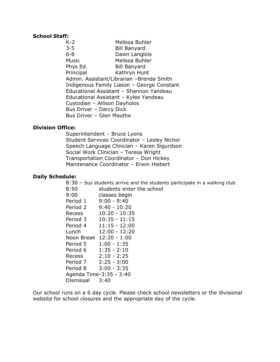#### **School Staff:**

K-2 Melissa Buhler 3-5 Bill Banyard 6-8 Dawn Langlois Music Melissa Buhler Phys Ed. Bill Banyard Principal Kathryn Hunt Admin. Assistant/Librarian –Brenda Smith Indigenous Family Liason – George Constant Educational Assistant – Shannon Yandeau Educational Assistant – Kylee Yandeau Custodian – Allison Dayholos Bus Driver – Darcy Dick Bus Driver – Glen Mauthe

# **Division Office:**

Superintendent – Bruce Lyons Student Services Coordinator – Lesley Nichol Speech Language Clinician – Karen Sigurdson Social Work Clinician – Teresa Wright Transportation Coordinator – Don Hickey Maintenance Coordinator – Erwin Hiebert

# **Daily Schedule:**

8:30 – bus students arrive and the students participate in a walking club

- 8:50 students enter the school
- 9:00 classes begin
- Period 1 9:00 9:40
- Period 2 9:40 10:20
- Recess 10:20 10:35
- Period 3 10:35 11:15
- Period 4 11:15 12:00 Lunch 12:00 - 12:20
- Noon Break 12:20 1:00
- Period 5 1:00 1:35 Period 6 1:35 - 2:10 Recess 2:10 - 2:25 Period 7 2:25 - 3:00 Period 8 3:00 - 3:35
- Agenda Time-3:35 3:40 Dismissal 3:40

Our school runs on a 6 day cycle. Please check school newsletters or the divisional website for school closures and the appropriate day of the cycle.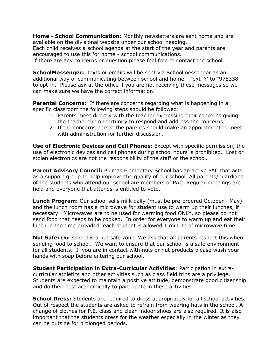**Home - School Communication:** Monthly newsletters are sent home and are available on the divisional website under our school heading.

Each child receives a school agenda at the start of the year and parents are encouraged to use this for home - school communications.

If there are any concerns or question please feel free to contact the school.

**SchoolMessenger:** texts or emails will be sent via Schoolmessenger as an additional way of communicating between school and home. Text 'Y' to "978338" to opt-in. Please ask at the office if you are not receiving these messages so we can make sure we have the correct information.

**Parental Concerns:** If there are concerns regarding what is happening in a specific classroom the following steps should be followed:

- 1. Parents meet directly with the teacher expressing their concerns giving the teacher the opportunity to respond and address the concerns;
- 2. If the concerns persist the parents should make an appointment to meet with administration for further discussion.

**Use of Electronic Devices and Cell Phones:** Except with specific permission, the use of electronic devices and cell phones during school hours is prohibited. Lost or stolen electronics are not the responsibility of the staff or the school.

**Parent Advisory Council:** Plumas Elementary School has an active PAC that acts as a support group to help improve the quality of our school. All parents/guardians of the students who attend our school are members of PAC. Regular meetings are held and everyone that attends is entitled to vote.

**Lunch Program:** Our school sells milk daily (must be pre-ordered October - May) and the lunch room has a microwave for student use to warm up their lunches, if necessary. Microwaves are to be used for warming food ONLY, so please do not send food that needs to be cooked. In order for everyone to warm up and eat their lunch in the time provided, each student is allowed 1 minute of microwave time.

**Nut Safe:** Our school is a nut safe zone. We ask that all parents respect this when sending food to school. We want to ensure that our school is a safe environment for all students. If you are in contact with nuts or nut products please wash your hands with soap before entering our school.

**Student Participation in Extra-Curricular Activities**: Participation in extracurricular athletics and other activities such as class field trips are a privilege. Students are expected to maintain a positive attitude, demonstrate good citizenship and do their best academically to participate in these activities.

**School Dress:** Students are required to dress appropriately for all school activities. Out of respect the students are asked to refrain from wearing hats in the school. A change of clothes for P.E. class and clean indoor shoes are also required. It is also important that the students dress for the weather especially in the winter as they can be outside for prolonged periods.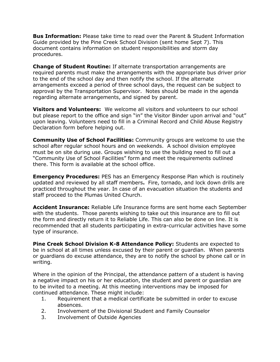**Bus Information:** Please take time to read over the Parent & Student Information Guide provided by the Pine Creek School Division (sent home Sept 7). This document contains information on student responsibilities and storm day procedures.

**Change of Student Routine:** If alternate transportation arrangements are required parents must make the arrangements with the appropriate bus driver prior to the end of the school day and then notify the school. If the alternate arrangements exceed a period of three school days, the request can be subject to approval by the Transportation Supervisor. Notes should be made in the agenda regarding alternate arrangements, and signed by parent.

**Visitors and Volunteers:** We welcome all visitors and volunteers to our school but please report to the office and sign "in" the Visitor Binder upon arrival and "out" upon leaving. Volunteers need to fill in a Criminal Record and Child Abuse Registry Declaration form before helping out.

**Community Use of School Facilities:** Community groups are welcome to use the school after regular school hours and on weekends. A school division employee must be on site during use. Groups wishing to use the building need to fill out a "Community Use of School Facilities" form and meet the requirements outlined there. This form is available at the school office.

**Emergency Procedures:** PES has an Emergency Response Plan which is routinely updated and reviewed by all staff members**.** Fire, tornado, and lock down drills are practiced throughout the year. In case of an evacuation situation the students and staff proceed to the Plumas United Church.

**Accident Insurance:** Reliable Life Insurance forms are sent home each September with the students. Those parents wishing to take out this insurance are to fill out the form and directly return it to Reliable Life. This can also be done on line. It is recommended that all students participating in extra-curricular activities have some type of insurance.

**Pine Creek School Division K-8 Attendance Policy:** Students are expected to be in school at all times unless excused by their parent or guardian. When parents or guardians do excuse attendance, they are to notify the school by phone call or in writing.

Where in the opinion of the Principal, the attendance pattern of a student is having a negative impact on his or her education, the student and parent or guardian are to be invited to a meeting. At this meeting interventions may be imposed for continued attendance. These might include:

- 1. Requirement that a medical certificate be submitted in order to excuse absences.
- 2. Involvement of the Divisional Student and Family Counselor
- 3. Involvement of Outside Agencies